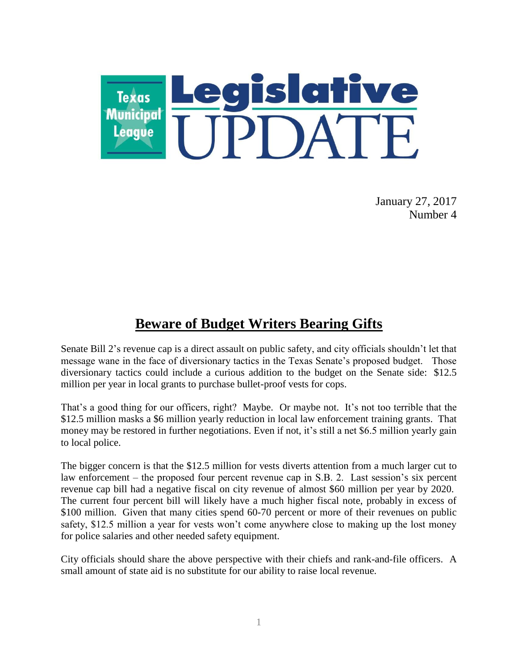

January 27, 2017 Number 4

# **Beware of Budget Writers Bearing Gifts**

Senate Bill 2's revenue cap is a direct assault on public safety, and city officials shouldn't let that message wane in the face of diversionary tactics in the Texas Senate's proposed budget. Those diversionary tactics could include a curious addition to the budget on the Senate side: \$12.5 million per year in local grants to purchase bullet-proof vests for cops.

That's a good thing for our officers, right? Maybe. Or maybe not. It's not too terrible that the \$12.5 million masks a \$6 million yearly reduction in local law enforcement training grants. That money may be restored in further negotiations. Even if not, it's still a net \$6.5 million yearly gain to local police.

The bigger concern is that the \$12.5 million for vests diverts attention from a much larger cut to law enforcement – the proposed four percent revenue cap in S.B. 2. Last session's six percent revenue cap bill had a negative fiscal on city revenue of almost \$60 million per year by 2020. The current four percent bill will likely have a much higher fiscal note, probably in excess of \$100 million. Given that many cities spend 60-70 percent or more of their revenues on public safety, \$12.5 million a year for vests won't come anywhere close to making up the lost money for police salaries and other needed safety equipment.

City officials should share the above perspective with their chiefs and rank-and-file officers. A small amount of state aid is no substitute for our ability to raise local revenue.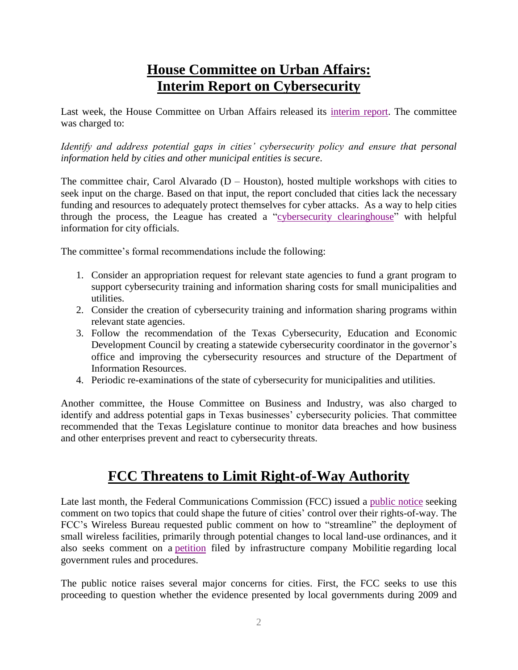## **House Committee on Urban Affairs: Interim Report on Cybersecurity**

Last week, the House Committee on Urban Affairs released its [interim report.](http://www.house.texas.gov/_media/pdf/committees/reports/84interim/Urban-Affairs-Committee-Interim-Report-2017.pdf) The committee was charged to:

*Identify and address potential gaps in cities' cybersecurity policy and ensure that personal information held by cities and other municipal entities is secure*.

The committee chair, Carol Alvarado (D – Houston), hosted multiple workshops with cities to seek input on the charge. Based on that input, the report concluded that cities lack the necessary funding and resources to adequately protect themselves for cyber attacks. As a way to help cities through the process, the League has created a ["cybersecurity clearinghouse"](http://www.tml.org/cybersecurity-clearinghouse) with helpful information for city officials.

The committee's formal recommendations include the following:

- 1. Consider an appropriation request for relevant state agencies to fund a grant program to support cybersecurity training and information sharing costs for small municipalities and utilities.
- 2. Consider the creation of cybersecurity training and information sharing programs within relevant state agencies.
- 3. Follow the recommendation of the Texas Cybersecurity, Education and Economic Development Council by creating a statewide cybersecurity coordinator in the governor's office and improving the cybersecurity resources and structure of the Department of Information Resources.
- 4. Periodic re-examinations of the state of cybersecurity for municipalities and utilities.

Another committee, the House Committee on Business and Industry, was also charged to identify and address potential gaps in Texas businesses' cybersecurity policies. That committee recommended that the Texas Legislature continue to monitor data breaches and how business and other enterprises prevent and react to cybersecurity threats.

### **FCC Threatens to Limit Right-of-Way Authority**

Late last month, the Federal Communications Commission (FCC) issued a [public notice](http://www.nlc.org/Documents/Influence%20Federal%20Policy/FR%20Update%20Files/2017/DA-16-1427A1.pdf) seeking comment on two topics that could shape the future of cities' control over their rights-of-way. The FCC's Wireless Bureau requested public comment on how to "streamline" the deployment of small wireless facilities, primarily through potential changes to local land-use ordinances, and it also seeks comment on a [petition](http://www.nlc.org/Documents/Influence%20Federal%20Policy/FR%20Update%20Files/2017/Mobilitie%20253%20Petition%20AS%20FILED-c1-c1.pdf) filed by infrastructure company Mobilitie regarding local government rules and procedures.

The public notice raises several major concerns for cities. First, the FCC seeks to use this proceeding to question whether the evidence presented by local governments during 2009 and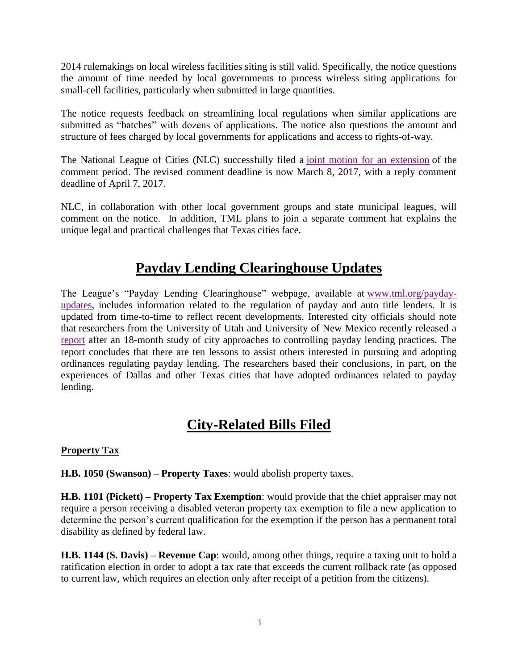2014 rulemakings on local wireless facilities siting is still valid. Specifically, the notice questions the amount of time needed by local governments to process wireless siting applications for small-cell facilities, particularly when submitted in large quantities.

The notice requests feedback on streamlining local regulations when similar applications are submitted as "batches" with dozens of applications. The notice also questions the amount and structure of fees charged by local governments for applications and access to rights-of-way.

The National League of Cities (NLC) successfully filed a [joint motion for an extension](http://www.nlc.org/Documents/Influence%20Federal%20Policy/FR%20Update%20Files/2017/WT%2016-421%20Motion%20for%20Extension%20of%20Time%20Jan%202017.pdf) of the comment period. The revised comment deadline is now March 8, 2017, with a reply comment deadline of April 7, 2017.

NLC, in collaboration with other local government groups and state municipal leagues, will comment on the notice. In addition, TML plans to join a separate comment hat explains the unique legal and practical challenges that Texas cities face.

## **Payday Lending Clearinghouse Updates**

The League's "Payday Lending Clearinghouse" webpage, available at [www.tml.org/payday](http://www.tml.org/payday-updates)[updates,](http://www.tml.org/payday-updates) includes information related to the regulation of payday and auto title lenders. It is updated from time-to-time to reflect recent developments. Interested city officials should note that researchers from the University of Utah and University of New Mexico recently released a [report](http://www.tml.org/p/2017%20MayerMartinPaydayOrdinances%20Report.pdf) after an 18-month study of city approaches to controlling payday lending practices. The report concludes that there are ten lessons to assist others interested in pursuing and adopting ordinances regulating payday lending. The researchers based their conclusions, in part, on the experiences of Dallas and other Texas cities that have adopted ordinances related to payday lending.

## **City-Related Bills Filed**

#### **Property Tax**

**H.B. 1050 (Swanson) – Property Taxes**: would abolish property taxes.

**H.B. 1101 (Pickett) – Property Tax Exemption**: would provide that the chief appraiser may not require a person receiving a disabled veteran property tax exemption to file a new application to determine the person's current qualification for the exemption if the person has a permanent total disability as defined by federal law.

**H.B. 1144 (S. Davis) – Revenue Cap**: would, among other things, require a taxing unit to hold a ratification election in order to adopt a tax rate that exceeds the current rollback rate (as opposed to current law, which requires an election only after receipt of a petition from the citizens).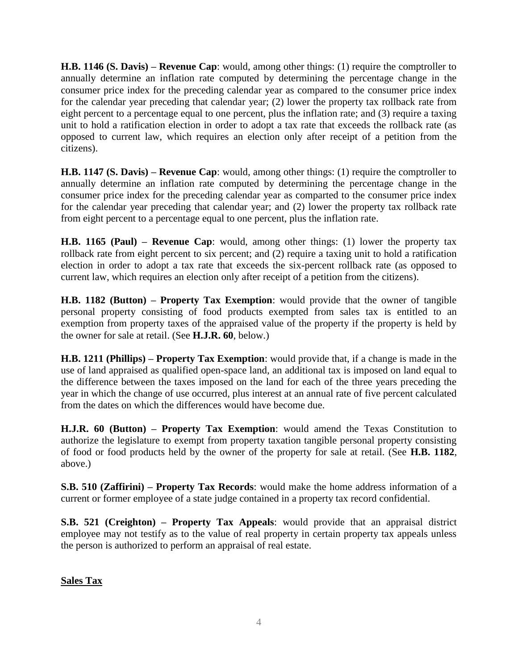**H.B. 1146 (S. Davis) – Revenue Cap**: would, among other things: (1) require the comptroller to annually determine an inflation rate computed by determining the percentage change in the consumer price index for the preceding calendar year as compared to the consumer price index for the calendar year preceding that calendar year; (2) lower the property tax rollback rate from eight percent to a percentage equal to one percent, plus the inflation rate; and (3) require a taxing unit to hold a ratification election in order to adopt a tax rate that exceeds the rollback rate (as opposed to current law, which requires an election only after receipt of a petition from the citizens).

**H.B. 1147 (S. Davis) – Revenue Cap**: would, among other things: (1) require the comptroller to annually determine an inflation rate computed by determining the percentage change in the consumer price index for the preceding calendar year as comparted to the consumer price index for the calendar year preceding that calendar year; and (2) lower the property tax rollback rate from eight percent to a percentage equal to one percent, plus the inflation rate.

**H.B. 1165 (Paul) – Revenue Cap**: would, among other things: (1) lower the property tax rollback rate from eight percent to six percent; and (2) require a taxing unit to hold a ratification election in order to adopt a tax rate that exceeds the six-percent rollback rate (as opposed to current law, which requires an election only after receipt of a petition from the citizens).

**H.B. 1182 (Button) – Property Tax Exemption**: would provide that the owner of tangible personal property consisting of food products exempted from sales tax is entitled to an exemption from property taxes of the appraised value of the property if the property is held by the owner for sale at retail. (See **H.J.R. 60**, below.)

**H.B. 1211 (Phillips) – Property Tax Exemption**: would provide that, if a change is made in the use of land appraised as qualified open-space land, an additional tax is imposed on land equal to the difference between the taxes imposed on the land for each of the three years preceding the year in which the change of use occurred, plus interest at an annual rate of five percent calculated from the dates on which the differences would have become due.

**H.J.R. 60 (Button) – Property Tax Exemption**: would amend the Texas Constitution to authorize the legislature to exempt from property taxation tangible personal property consisting of food or food products held by the owner of the property for sale at retail. (See **H.B. 1182**, above.)

**S.B. 510 (Zaffirini) – Property Tax Records**: would make the home address information of a current or former employee of a state judge contained in a property tax record confidential.

**S.B. 521 (Creighton) – Property Tax Appeals**: would provide that an appraisal district employee may not testify as to the value of real property in certain property tax appeals unless the person is authorized to perform an appraisal of real estate.

**Sales Tax**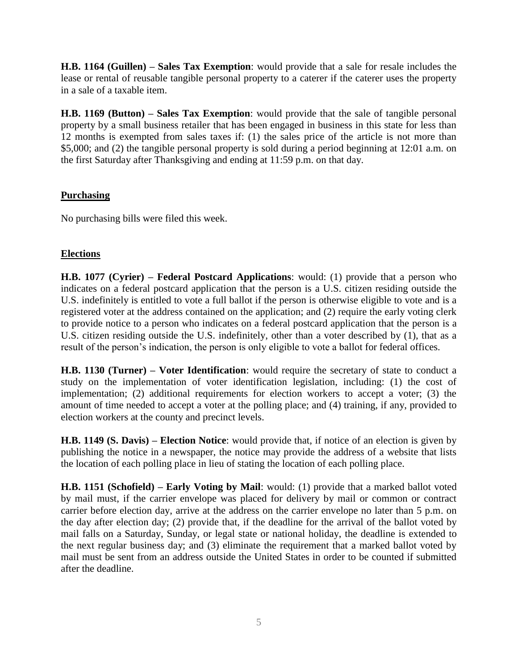**H.B. 1164 (Guillen) – Sales Tax Exemption**: would provide that a sale for resale includes the lease or rental of reusable tangible personal property to a caterer if the caterer uses the property in a sale of a taxable item.

**H.B. 1169 (Button) – Sales Tax Exemption**: would provide that the sale of tangible personal property by a small business retailer that has been engaged in business in this state for less than 12 months is exempted from sales taxes if: (1) the sales price of the article is not more than \$5,000; and (2) the tangible personal property is sold during a period beginning at 12:01 a.m. on the first Saturday after Thanksgiving and ending at 11:59 p.m. on that day.

#### **Purchasing**

No purchasing bills were filed this week.

#### **Elections**

**H.B. 1077 (Cyrier) – Federal Postcard Applications**: would: (1) provide that a person who indicates on a federal postcard application that the person is a U.S. citizen residing outside the U.S. indefinitely is entitled to vote a full ballot if the person is otherwise eligible to vote and is a registered voter at the address contained on the application; and (2) require the early voting clerk to provide notice to a person who indicates on a federal postcard application that the person is a U.S. citizen residing outside the U.S. indefinitely, other than a voter described by (1), that as a result of the person's indication, the person is only eligible to vote a ballot for federal offices.

**H.B. 1130 (Turner) – Voter Identification**: would require the secretary of state to conduct a study on the implementation of voter identification legislation, including: (1) the cost of implementation; (2) additional requirements for election workers to accept a voter; (3) the amount of time needed to accept a voter at the polling place; and (4) training, if any, provided to election workers at the county and precinct levels.

**H.B. 1149 (S. Davis) – Election Notice**: would provide that, if notice of an election is given by publishing the notice in a newspaper, the notice may provide the address of a website that lists the location of each polling place in lieu of stating the location of each polling place.

**H.B. 1151 (Schofield) – Early Voting by Mail**: would: (1) provide that a marked ballot voted by mail must, if the carrier envelope was placed for delivery by mail or common or contract carrier before election day, arrive at the address on the carrier envelope no later than 5 p.m. on the day after election day; (2) provide that, if the deadline for the arrival of the ballot voted by mail falls on a Saturday, Sunday, or legal state or national holiday, the deadline is extended to the next regular business day; and (3) eliminate the requirement that a marked ballot voted by mail must be sent from an address outside the United States in order to be counted if submitted after the deadline.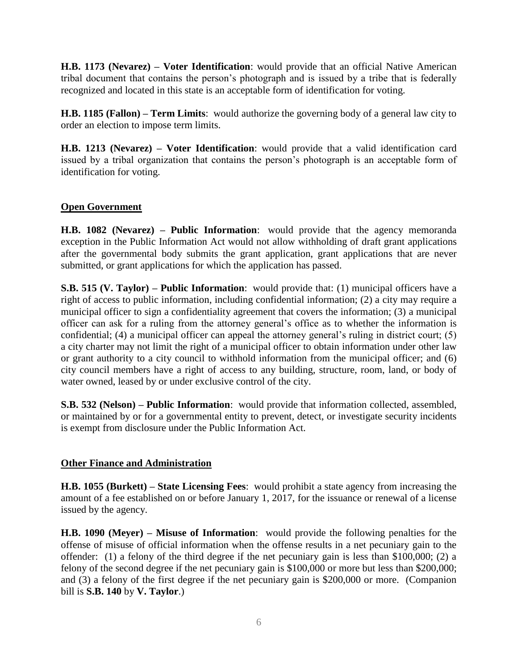**H.B. 1173 (Nevarez) – Voter Identification**: would provide that an official Native American tribal document that contains the person's photograph and is issued by a tribe that is federally recognized and located in this state is an acceptable form of identification for voting.

**H.B. 1185 (Fallon) – Term Limits**: would authorize the governing body of a general law city to order an election to impose term limits.

**H.B. 1213 (Nevarez) – Voter Identification**: would provide that a valid identification card issued by a tribal organization that contains the person's photograph is an acceptable form of identification for voting.

#### **Open Government**

**H.B. 1082 (Nevarez) – Public Information**: would provide that the agency memoranda exception in the Public Information Act would not allow withholding of draft grant applications after the governmental body submits the grant application, grant applications that are never submitted, or grant applications for which the application has passed.

**S.B. 515 (V. Taylor) – Public Information**: would provide that: (1) municipal officers have a right of access to public information, including confidential information; (2) a city may require a municipal officer to sign a confidentiality agreement that covers the information; (3) a municipal officer can ask for a ruling from the attorney general's office as to whether the information is confidential; (4) a municipal officer can appeal the attorney general's ruling in district court; (5) a city charter may not limit the right of a municipal officer to obtain information under other law or grant authority to a city council to withhold information from the municipal officer; and (6) city council members have a right of access to any building, structure, room, land, or body of water owned, leased by or under exclusive control of the city.

**S.B. 532 (Nelson) – Public Information**: would provide that information collected, assembled, or maintained by or for a governmental entity to prevent, detect, or investigate security incidents is exempt from disclosure under the Public Information Act.

### **Other Finance and Administration**

**H.B. 1055 (Burkett) – State Licensing Fees**: would prohibit a state agency from increasing the amount of a fee established on or before January 1, 2017, for the issuance or renewal of a license issued by the agency.

**H.B. 1090 (Meyer) – Misuse of Information**: would provide the following penalties for the offense of misuse of official information when the offense results in a net pecuniary gain to the offender: (1) a felony of the third degree if the net pecuniary gain is less than \$100,000; (2) a felony of the second degree if the net pecuniary gain is \$100,000 or more but less than \$200,000; and (3) a felony of the first degree if the net pecuniary gain is \$200,000 or more. (Companion bill is **S.B. 140** by **V. Taylor**.)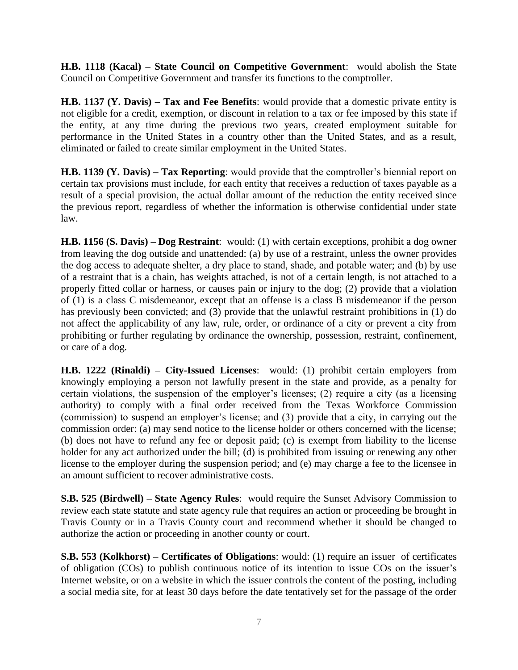**H.B. 1118 (Kacal) – State Council on Competitive Government**: would abolish the State Council on Competitive Government and transfer its functions to the comptroller.

**H.B. 1137 (Y. Davis) – Tax and Fee Benefits**: would provide that a domestic private entity is not eligible for a credit, exemption, or discount in relation to a tax or fee imposed by this state if the entity, at any time during the previous two years, created employment suitable for performance in the United States in a country other than the United States, and as a result, eliminated or failed to create similar employment in the United States.

**H.B. 1139 (Y. Davis) – Tax Reporting**: would provide that the comptroller's biennial report on certain tax provisions must include, for each entity that receives a reduction of taxes payable as a result of a special provision, the actual dollar amount of the reduction the entity received since the previous report, regardless of whether the information is otherwise confidential under state law.

**H.B. 1156 (S. Davis) – Dog Restraint**: would: (1) with certain exceptions, prohibit a dog owner from leaving the dog outside and unattended: (a) by use of a restraint, unless the owner provides the dog access to adequate shelter, a dry place to stand, shade, and potable water; and (b) by use of a restraint that is a chain, has weights attached, is not of a certain length, is not attached to a properly fitted collar or harness, or causes pain or injury to the dog; (2) provide that a violation of (1) is a class C misdemeanor, except that an offense is a class B misdemeanor if the person has previously been convicted; and (3) provide that the unlawful restraint prohibitions in (1) do not affect the applicability of any law, rule, order, or ordinance of a city or prevent a city from prohibiting or further regulating by ordinance the ownership, possession, restraint, confinement, or care of a dog.

**H.B. 1222 (Rinaldi) – City-Issued Licenses**: would: (1) prohibit certain employers from knowingly employing a person not lawfully present in the state and provide, as a penalty for certain violations, the suspension of the employer's licenses; (2) require a city (as a licensing authority) to comply with a final order received from the Texas Workforce Commission (commission) to suspend an employer's license; and (3) provide that a city, in carrying out the commission order: (a) may send notice to the license holder or others concerned with the license; (b) does not have to refund any fee or deposit paid; (c) is exempt from liability to the license holder for any act authorized under the bill; (d) is prohibited from issuing or renewing any other license to the employer during the suspension period; and (e) may charge a fee to the licensee in an amount sufficient to recover administrative costs.

**S.B. 525 (Birdwell) – State Agency Rules**: would require the Sunset Advisory Commission to review each state statute and state agency rule that requires an action or proceeding be brought in Travis County or in a Travis County court and recommend whether it should be changed to authorize the action or proceeding in another county or court.

**S.B. 553 (Kolkhorst) – Certificates of Obligations**: would: (1) require an issuer of certificates of obligation (COs) to publish continuous notice of its intention to issue COs on the issuer's Internet website, or on a website in which the issuer controls the content of the posting, including a social media site, for at least 30 days before the date tentatively set for the passage of the order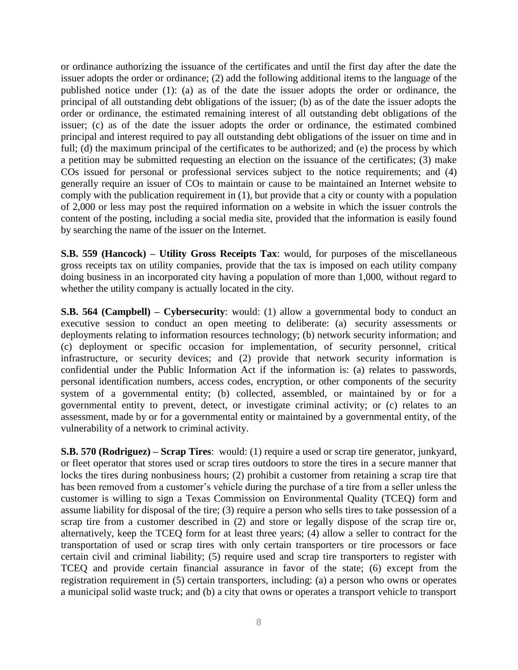or ordinance authorizing the issuance of the certificates and until the first day after the date the issuer adopts the order or ordinance; (2) add the following additional items to the language of the published notice under (1): (a) as of the date the issuer adopts the order or ordinance, the principal of all outstanding debt obligations of the issuer; (b) as of the date the issuer adopts the order or ordinance, the estimated remaining interest of all outstanding debt obligations of the issuer; (c) as of the date the issuer adopts the order or ordinance, the estimated combined principal and interest required to pay all outstanding debt obligations of the issuer on time and in full; (d) the maximum principal of the certificates to be authorized; and (e) the process by which a petition may be submitted requesting an election on the issuance of the certificates; (3) make COs issued for personal or professional services subject to the notice requirements; and (4) generally require an issuer of COs to maintain or cause to be maintained an Internet website to comply with the publication requirement in (1), but provide that a city or county with a population of 2,000 or less may post the required information on a website in which the issuer controls the content of the posting, including a social media site, provided that the information is easily found by searching the name of the issuer on the Internet.

**S.B. 559 (Hancock) – Utility Gross Receipts Tax**: would, for purposes of the miscellaneous gross receipts tax on utility companies, provide that the tax is imposed on each utility company doing business in an incorporated city having a population of more than 1,000, without regard to whether the utility company is actually located in the city.

**S.B. 564 (Campbell) – Cybersecurity**: would: (1) allow a governmental body to conduct an executive session to conduct an open meeting to deliberate: (a) security assessments or deployments relating to information resources technology; (b) network security information; and (c) deployment or specific occasion for implementation, of security personnel, critical infrastructure, or security devices; and (2) provide that network security information is confidential under the Public Information Act if the information is: (a) relates to passwords, personal identification numbers, access codes, encryption, or other components of the security system of a governmental entity; (b) collected, assembled, or maintained by or for a governmental entity to prevent, detect, or investigate criminal activity; or (c) relates to an assessment, made by or for a governmental entity or maintained by a governmental entity, of the vulnerability of a network to criminal activity.

**S.B. 570 (Rodriguez) – Scrap Tires**: would: (1) require a used or scrap tire generator, junkyard, or fleet operator that stores used or scrap tires outdoors to store the tires in a secure manner that locks the tires during nonbusiness hours; (2) prohibit a customer from retaining a scrap tire that has been removed from a customer's vehicle during the purchase of a tire from a seller unless the customer is willing to sign a Texas Commission on Environmental Quality (TCEQ) form and assume liability for disposal of the tire; (3) require a person who sells tires to take possession of a scrap tire from a customer described in (2) and store or legally dispose of the scrap tire or, alternatively, keep the TCEQ form for at least three years; (4) allow a seller to contract for the transportation of used or scrap tires with only certain transporters or tire processors or face certain civil and criminal liability; (5) require used and scrap tire transporters to register with TCEQ and provide certain financial assurance in favor of the state; (6) except from the registration requirement in (5) certain transporters, including: (a) a person who owns or operates a municipal solid waste truck; and (b) a city that owns or operates a transport vehicle to transport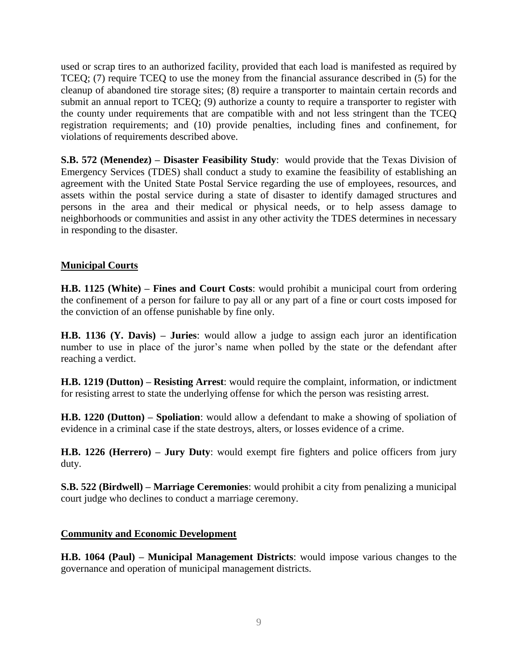used or scrap tires to an authorized facility, provided that each load is manifested as required by TCEQ; (7) require TCEQ to use the money from the financial assurance described in (5) for the cleanup of abandoned tire storage sites; (8) require a transporter to maintain certain records and submit an annual report to TCEQ; (9) authorize a county to require a transporter to register with the county under requirements that are compatible with and not less stringent than the TCEQ registration requirements; and (10) provide penalties, including fines and confinement, for violations of requirements described above.

**S.B. 572 (Menendez) – Disaster Feasibility Study**: would provide that the Texas Division of Emergency Services (TDES) shall conduct a study to examine the feasibility of establishing an agreement with the United State Postal Service regarding the use of employees, resources, and assets within the postal service during a state of disaster to identify damaged structures and persons in the area and their medical or physical needs, or to help assess damage to neighborhoods or communities and assist in any other activity the TDES determines in necessary in responding to the disaster.

#### **Municipal Courts**

**H.B. 1125 (White) – Fines and Court Costs**: would prohibit a municipal court from ordering the confinement of a person for failure to pay all or any part of a fine or court costs imposed for the conviction of an offense punishable by fine only.

**H.B. 1136 (Y. Davis) – Juries**: would allow a judge to assign each juror an identification number to use in place of the juror's name when polled by the state or the defendant after reaching a verdict.

**H.B. 1219 (Dutton) – Resisting Arrest**: would require the complaint, information, or indictment for resisting arrest to state the underlying offense for which the person was resisting arrest.

**H.B. 1220 (Dutton) – Spoliation**: would allow a defendant to make a showing of spoliation of evidence in a criminal case if the state destroys, alters, or losses evidence of a crime.

**H.B. 1226 (Herrero) – Jury Duty**: would exempt fire fighters and police officers from jury duty.

**S.B. 522 (Birdwell) – Marriage Ceremonies**: would prohibit a city from penalizing a municipal court judge who declines to conduct a marriage ceremony.

#### **Community and Economic Development**

**H.B. 1064 (Paul) – Municipal Management Districts**: would impose various changes to the governance and operation of municipal management districts.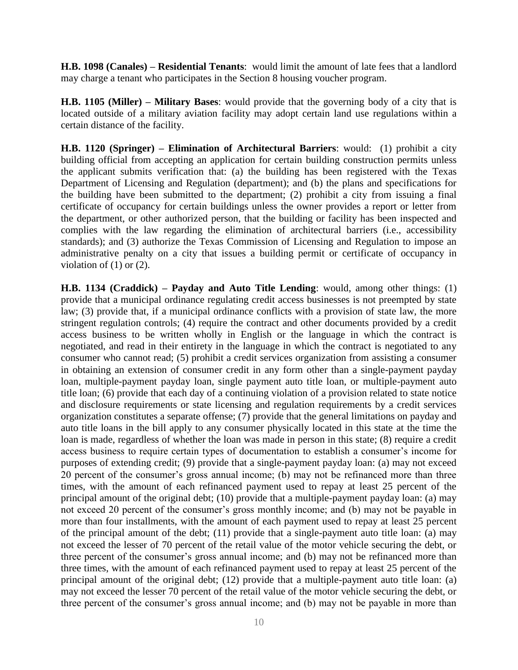**H.B. 1098 (Canales) – Residential Tenants**: would limit the amount of late fees that a landlord may charge a tenant who participates in the Section 8 housing voucher program.

**H.B. 1105 (Miller) – Military Bases**: would provide that the governing body of a city that is located outside of a military aviation facility may adopt certain land use regulations within a certain distance of the facility.

**H.B. 1120 (Springer) – Elimination of Architectural Barriers**: would: (1) prohibit a city building official from accepting an application for certain building construction permits unless the applicant submits verification that: (a) the building has been registered with the Texas Department of Licensing and Regulation (department); and (b) the plans and specifications for the building have been submitted to the department; (2) prohibit a city from issuing a final certificate of occupancy for certain buildings unless the owner provides a report or letter from the department, or other authorized person, that the building or facility has been inspected and complies with the law regarding the elimination of architectural barriers (i.e., accessibility standards); and (3) authorize the Texas Commission of Licensing and Regulation to impose an administrative penalty on a city that issues a building permit or certificate of occupancy in violation of  $(1)$  or  $(2)$ .

**H.B. 1134 (Craddick) – Payday and Auto Title Lending**: would, among other things: (1) provide that a municipal ordinance regulating credit access businesses is not preempted by state law; (3) provide that, if a municipal ordinance conflicts with a provision of state law, the more stringent regulation controls; (4) require the contract and other documents provided by a credit access business to be written wholly in English or the language in which the contract is negotiated, and read in their entirety in the language in which the contract is negotiated to any consumer who cannot read; (5) prohibit a credit services organization from assisting a consumer in obtaining an extension of consumer credit in any form other than a single-payment payday loan, multiple-payment payday loan, single payment auto title loan, or multiple-payment auto title loan; (6) provide that each day of a continuing violation of a provision related to state notice and disclosure requirements or state licensing and regulation requirements by a credit services organization constitutes a separate offense; (7) provide that the general limitations on payday and auto title loans in the bill apply to any consumer physically located in this state at the time the loan is made, regardless of whether the loan was made in person in this state; (8) require a credit access business to require certain types of documentation to establish a consumer's income for purposes of extending credit; (9) provide that a single-payment payday loan: (a) may not exceed 20 percent of the consumer's gross annual income; (b) may not be refinanced more than three times, with the amount of each refinanced payment used to repay at least 25 percent of the principal amount of the original debt; (10) provide that a multiple-payment payday loan: (a) may not exceed 20 percent of the consumer's gross monthly income; and (b) may not be payable in more than four installments, with the amount of each payment used to repay at least 25 percent of the principal amount of the debt; (11) provide that a single-payment auto title loan: (a) may not exceed the lesser of 70 percent of the retail value of the motor vehicle securing the debt, or three percent of the consumer's gross annual income; and (b) may not be refinanced more than three times, with the amount of each refinanced payment used to repay at least 25 percent of the principal amount of the original debt; (12) provide that a multiple-payment auto title loan: (a) may not exceed the lesser 70 percent of the retail value of the motor vehicle securing the debt, or three percent of the consumer's gross annual income; and (b) may not be payable in more than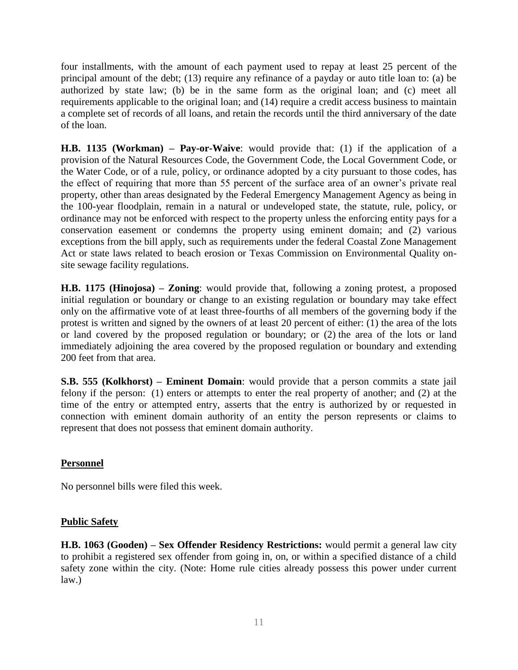four installments, with the amount of each payment used to repay at least 25 percent of the principal amount of the debt; (13) require any refinance of a payday or auto title loan to: (a) be authorized by state law; (b) be in the same form as the original loan; and (c) meet all requirements applicable to the original loan; and (14) require a credit access business to maintain a complete set of records of all loans, and retain the records until the third anniversary of the date of the loan.

**H.B. 1135 (Workman) – Pay-or-Waive**: would provide that: (1) if the application of a provision of the Natural Resources Code, the Government Code, the Local Government Code, or the Water Code, or of a rule, policy, or ordinance adopted by a city pursuant to those codes, has the effect of requiring that more than 55 percent of the surface area of an owner's private real property, other than areas designated by the Federal Emergency Management Agency as being in the 100-year floodplain, remain in a natural or undeveloped state, the statute, rule, policy, or ordinance may not be enforced with respect to the property unless the enforcing entity pays for a conservation easement or condemns the property using eminent domain; and (2) various exceptions from the bill apply, such as requirements under the federal Coastal Zone Management Act or state laws related to beach erosion or Texas Commission on Environmental Quality onsite sewage facility regulations.

**H.B. 1175 (Hinojosa) – Zoning**: would provide that, following a zoning protest, a proposed initial regulation or boundary or change to an existing regulation or boundary may take effect only on the affirmative vote of at least three-fourths of all members of the governing body if the protest is written and signed by the owners of at least 20 percent of either: (1) the area of the lots or land covered by the proposed regulation or boundary; or (2) the area of the lots or land immediately adjoining the area covered by the proposed regulation or boundary and extending 200 feet from that area.

**S.B. 555 (Kolkhorst) – Eminent Domain**: would provide that a person commits a state jail felony if the person: (1) enters or attempts to enter the real property of another; and (2) at the time of the entry or attempted entry, asserts that the entry is authorized by or requested in connection with eminent domain authority of an entity the person represents or claims to represent that does not possess that eminent domain authority.

#### **Personnel**

No personnel bills were filed this week.

#### **Public Safety**

**H.B. 1063 (Gooden) – Sex Offender Residency Restrictions:** would permit a general law city to prohibit a registered sex offender from going in, on, or within a specified distance of a child safety zone within the city. (Note: Home rule cities already possess this power under current law.)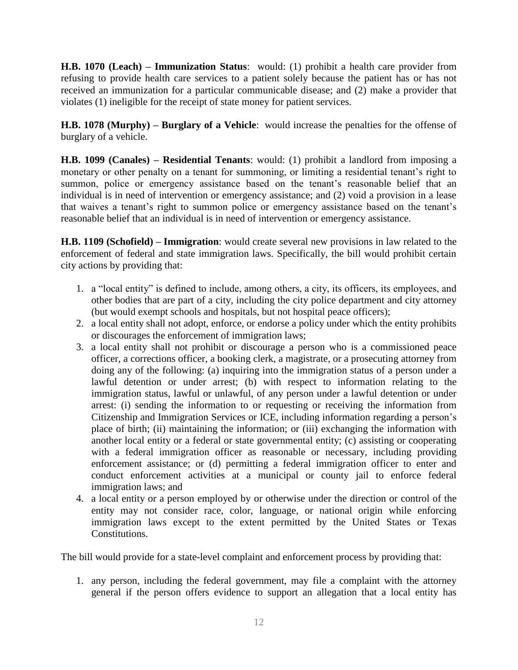**H.B. 1070 (Leach) – Immunization Status**: would: (1) prohibit a health care provider from refusing to provide health care services to a patient solely because the patient has or has not received an immunization for a particular communicable disease; and (2) make a provider that violates (1) ineligible for the receipt of state money for patient services.

**H.B. 1078 (Murphy) – Burglary of a Vehicle**: would increase the penalties for the offense of burglary of a vehicle.

**H.B. 1099 (Canales) – Residential Tenants**: would: (1) prohibit a landlord from imposing a monetary or other penalty on a tenant for summoning, or limiting a residential tenant's right to summon, police or emergency assistance based on the tenant's reasonable belief that an individual is in need of intervention or emergency assistance; and (2) void a provision in a lease that waives a tenant's right to summon police or emergency assistance based on the tenant's reasonable belief that an individual is in need of intervention or emergency assistance.

**H.B. 1109 (Schofield) – Immigration**: would create several new provisions in law related to the enforcement of federal and state immigration laws. Specifically, the bill would prohibit certain city actions by providing that:

- 1. a "local entity" is defined to include, among others, a city, its officers, its employees, and other bodies that are part of a city, including the city police department and city attorney (but would exempt schools and hospitals, but not hospital peace officers);
- 2. a local entity shall not adopt, enforce, or endorse a policy under which the entity prohibits or discourages the enforcement of immigration laws;
- 3. a local entity shall not prohibit or discourage a person who is a commissioned peace officer, a corrections officer, a booking clerk, a magistrate, or a prosecuting attorney from doing any of the following: (a) inquiring into the immigration status of a person under a lawful detention or under arrest; (b) with respect to information relating to the immigration status, lawful or unlawful, of any person under a lawful detention or under arrest: (i) sending the information to or requesting or receiving the information from Citizenship and Immigration Services or ICE, including information regarding a person's place of birth; (ii) maintaining the information; or (iii) exchanging the information with another local entity or a federal or state governmental entity; (c) assisting or cooperating with a federal immigration officer as reasonable or necessary, including providing enforcement assistance; or (d) permitting a federal immigration officer to enter and conduct enforcement activities at a municipal or county jail to enforce federal immigration laws; and
- 4. a local entity or a person employed by or otherwise under the direction or control of the entity may not consider race, color, language, or national origin while enforcing immigration laws except to the extent permitted by the United States or Texas Constitutions.

The bill would provide for a state-level complaint and enforcement process by providing that:

1. any person, including the federal government, may file a complaint with the attorney general if the person offers evidence to support an allegation that a local entity has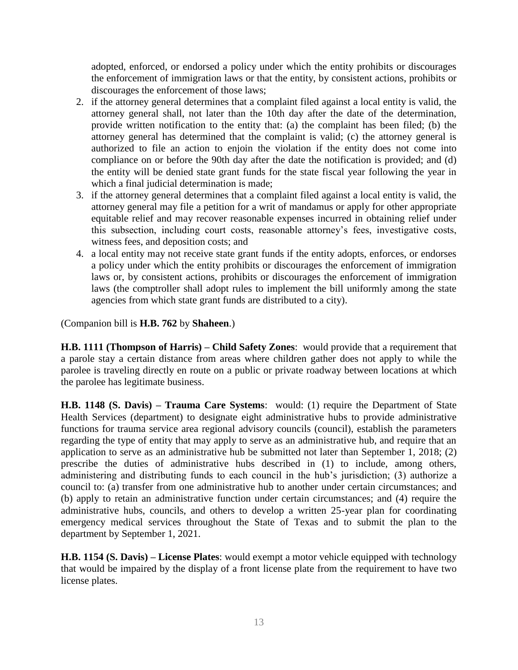adopted, enforced, or endorsed a policy under which the entity prohibits or discourages the enforcement of immigration laws or that the entity, by consistent actions, prohibits or discourages the enforcement of those laws;

- 2. if the attorney general determines that a complaint filed against a local entity is valid, the attorney general shall, not later than the 10th day after the date of the determination, provide written notification to the entity that: (a) the complaint has been filed; (b) the attorney general has determined that the complaint is valid; (c) the attorney general is authorized to file an action to enjoin the violation if the entity does not come into compliance on or before the 90th day after the date the notification is provided; and (d) the entity will be denied state grant funds for the state fiscal year following the year in which a final judicial determination is made;
- 3. if the attorney general determines that a complaint filed against a local entity is valid, the attorney general may file a petition for a writ of mandamus or apply for other appropriate equitable relief and may recover reasonable expenses incurred in obtaining relief under this subsection, including court costs, reasonable attorney's fees, investigative costs, witness fees, and deposition costs; and
- 4. a local entity may not receive state grant funds if the entity adopts, enforces, or endorses a policy under which the entity prohibits or discourages the enforcement of immigration laws or, by consistent actions, prohibits or discourages the enforcement of immigration laws (the comptroller shall adopt rules to implement the bill uniformly among the state agencies from which state grant funds are distributed to a city).

(Companion bill is **H.B. 762** by **Shaheen**.)

**H.B. 1111 (Thompson of Harris) – Child Safety Zones**: would provide that a requirement that a parole stay a certain distance from areas where children gather does not apply to while the parolee is traveling directly en route on a public or private roadway between locations at which the parolee has legitimate business.

**H.B. 1148 (S. Davis) – Trauma Care Systems**: would: (1) require the Department of State Health Services (department) to designate eight administrative hubs to provide administrative functions for trauma service area regional advisory councils (council), establish the parameters regarding the type of entity that may apply to serve as an administrative hub, and require that an application to serve as an administrative hub be submitted not later than September 1, 2018; (2) prescribe the duties of administrative hubs described in (1) to include, among others, administering and distributing funds to each council in the hub's jurisdiction; (3) authorize a council to: (a) transfer from one administrative hub to another under certain circumstances; and (b) apply to retain an administrative function under certain circumstances; and (4) require the administrative hubs, councils, and others to develop a written 25-year plan for coordinating emergency medical services throughout the State of Texas and to submit the plan to the department by September 1, 2021.

**H.B. 1154 (S. Davis) – License Plates**: would exempt a motor vehicle equipped with technology that would be impaired by the display of a front license plate from the requirement to have two license plates.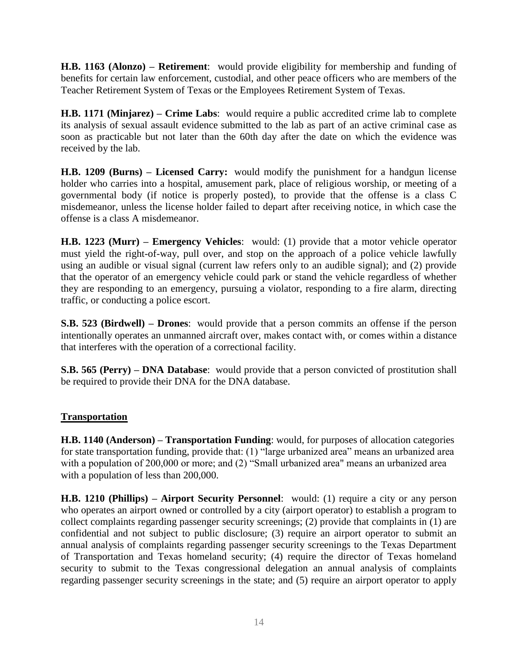**H.B. 1163 (Alonzo) – Retirement**: would provide eligibility for membership and funding of benefits for certain law enforcement, custodial, and other peace officers who are members of the Teacher Retirement System of Texas or the Employees Retirement System of Texas.

**H.B. 1171 (Minjarez) – Crime Labs**: would require a public accredited crime lab to complete its analysis of sexual assault evidence submitted to the lab as part of an active criminal case as soon as practicable but not later than the 60th day after the date on which the evidence was received by the lab.

**H.B. 1209 (Burns) – Licensed Carry:** would modify the punishment for a handgun license holder who carries into a hospital, amusement park, place of religious worship, or meeting of a governmental body (if notice is properly posted), to provide that the offense is a class C misdemeanor, unless the license holder failed to depart after receiving notice, in which case the offense is a class A misdemeanor.

**H.B. 1223 (Murr) – Emergency Vehicles**: would: (1) provide that a motor vehicle operator must yield the right-of-way, pull over, and stop on the approach of a police vehicle lawfully using an audible or visual signal (current law refers only to an audible signal); and (2) provide that the operator of an emergency vehicle could park or stand the vehicle regardless of whether they are responding to an emergency, pursuing a violator, responding to a fire alarm, directing traffic, or conducting a police escort.

**S.B. 523 (Birdwell) – Drones**: would provide that a person commits an offense if the person intentionally operates an unmanned aircraft over, makes contact with, or comes within a distance that interferes with the operation of a correctional facility.

**S.B. 565 (Perry) – DNA Database**: would provide that a person convicted of prostitution shall be required to provide their DNA for the DNA database.

### **Transportation**

**H.B. 1140 (Anderson) – Transportation Funding**: would, for purposes of allocation categories for state transportation funding, provide that: (1) "large urbanized area" means an urbanized area with a population of 200,000 or more; and (2) "Small urbanized area" means an urbanized area with a population of less than 200,000.

**H.B. 1210 (Phillips) – Airport Security Personnel**: would: (1) require a city or any person who operates an airport owned or controlled by a city (airport operator) to establish a program to collect complaints regarding passenger security screenings; (2) provide that complaints in (1) are confidential and not subject to public disclosure; (3) require an airport operator to submit an annual analysis of complaints regarding passenger security screenings to the Texas Department of Transportation and Texas homeland security; (4) require the director of Texas homeland security to submit to the Texas congressional delegation an annual analysis of complaints regarding passenger security screenings in the state; and (5) require an airport operator to apply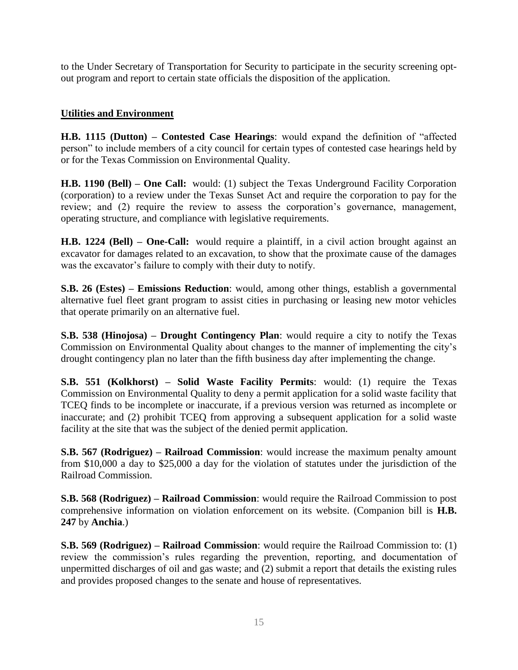to the Under Secretary of Transportation for Security to participate in the security screening optout program and report to certain state officials the disposition of the application.

#### **Utilities and Environment**

**H.B. 1115 (Dutton) – Contested Case Hearings**: would expand the definition of "affected person" to include members of a city council for certain types of contested case hearings held by or for the Texas Commission on Environmental Quality.

**H.B. 1190 (Bell) – One Call:** would: (1) subject the Texas Underground Facility Corporation (corporation) to a review under the Texas Sunset Act and require the corporation to pay for the review; and (2) require the review to assess the corporation's governance, management, operating structure, and compliance with legislative requirements.

**H.B. 1224 (Bell) – One-Call:** would require a plaintiff, in a civil action brought against an excavator for damages related to an excavation, to show that the proximate cause of the damages was the excavator's failure to comply with their duty to notify.

**S.B. 26 (Estes) – Emissions Reduction**: would, among other things, establish a governmental alternative fuel fleet grant program to assist cities in purchasing or leasing new motor vehicles that operate primarily on an alternative fuel.

**S.B. 538 (Hinojosa) – Drought Contingency Plan**: would require a city to notify the Texas Commission on Environmental Quality about changes to the manner of implementing the city's drought contingency plan no later than the fifth business day after implementing the change.

**S.B. 551 (Kolkhorst) – Solid Waste Facility Permits**: would: (1) require the Texas Commission on Environmental Quality to deny a permit application for a solid waste facility that TCEQ finds to be incomplete or inaccurate, if a previous version was returned as incomplete or inaccurate; and (2) prohibit TCEQ from approving a subsequent application for a solid waste facility at the site that was the subject of the denied permit application.

**S.B. 567 (Rodriguez) – Railroad Commission**: would increase the maximum penalty amount from \$10,000 a day to \$25,000 a day for the violation of statutes under the jurisdiction of the Railroad Commission.

**S.B. 568 (Rodriguez) – Railroad Commission**: would require the Railroad Commission to post comprehensive information on violation enforcement on its website. (Companion bill is **H.B. 247** by **Anchia**.)

**S.B. 569 (Rodriguez) – Railroad Commission**: would require the Railroad Commission to: (1) review the commission's rules regarding the prevention, reporting, and documentation of unpermitted discharges of oil and gas waste; and (2) submit a report that details the existing rules and provides proposed changes to the senate and house of representatives.